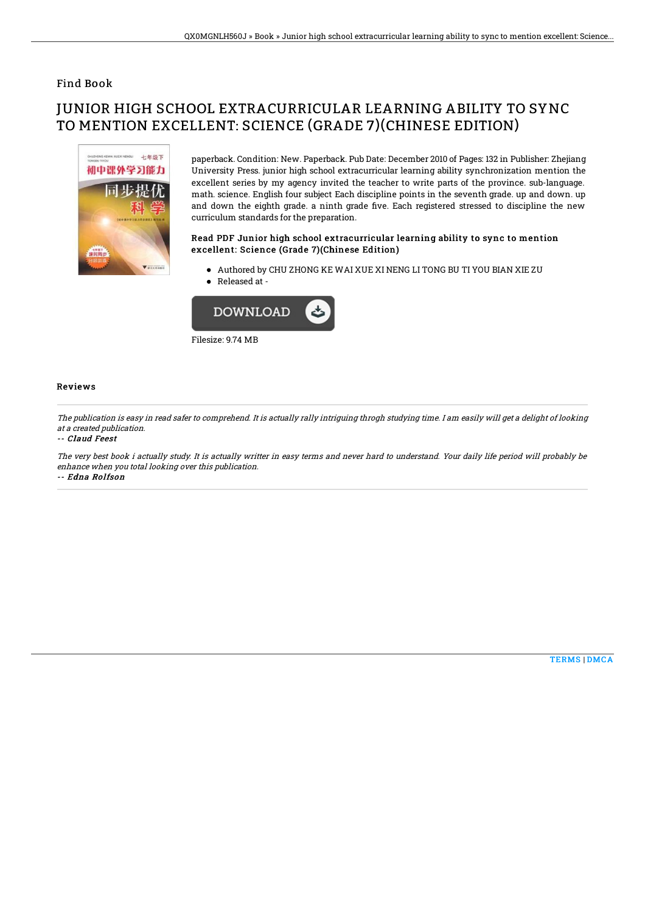### Find Book

# JUNIOR HIGH SCHOOL EXTRACURRICULAR LEARNING ABILITY TO SYNC TO MENTION EXCELLENT: SCIENCE (GRADE 7)(CHINESE EDITION)



paperback. Condition: New. Paperback. Pub Date: December 2010 of Pages: 132 in Publisher: Zhejiang University Press. junior high school extracurricular learning ability synchronization mention the excellent series by my agency invited the teacher to write parts of the province. sub-language. math. science. English four subject Each discipline points in the seventh grade. up and down. up and down the eighth grade. a ninth grade five. Each registered stressed to discipline the new curriculum standards for the preparation.

#### Read PDF Junior high school extracurricular learning ability to sync to mention excellent: Science (Grade 7)(Chinese Edition)

Authored by CHU ZHONG KE WAI XUE XI NENG LI TONG BU TI YOU BIAN XIE ZU • Released at -



#### Reviews

The publication is easy in read safer to comprehend. It is actually rally intriguing throgh studying time. I am easily will get <sup>a</sup> delight of looking at <sup>a</sup> created publication.

#### -- Claud Feest

The very best book i actually study. It is actually writter in easy terms and never hard to understand. Your daily life period will probably be enhance when you total looking over this publication. -- Edna Rolfson